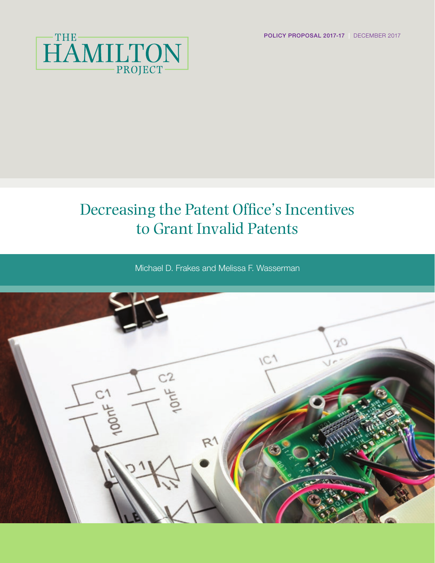POLICY PROPOSAL 2017-17 | DECEMBER 2017



# Decreasing the Patent Office's Incentives to Grant Invalid Patents

Michael D. Frakes and Melissa F. Wasserman

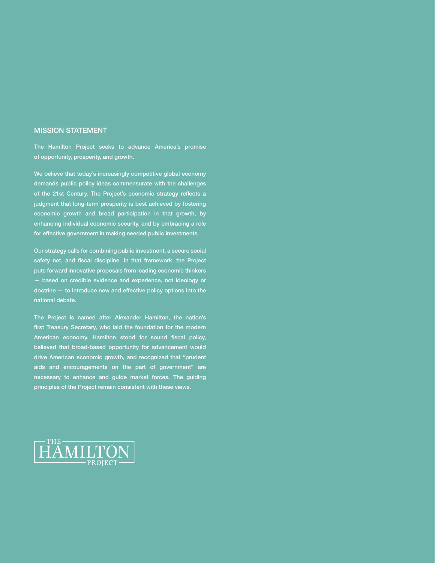#### MISSION STATEMENT

The Hamilton Project seeks to advance America's promise of opportunity, prosperity, and growth.

We believe that today's increasingly competitive global economy demands public policy ideas commensurate with the challenges of the 21st Century. The Project's economic strategy reflects a judgment that long-term prosperity is best achieved by fostering economic growth and broad participation in that growth, by enhancing individual economic security, and by embracing a role for effective government in making needed public investments.

Our strategy calls for combining public investment, a secure social safety net, and fiscal discipline. In that framework, the Project puts forward innovative proposals from leading economic thinkers — based on credible evidence and experience, not ideology or doctrine — to introduce new and effective policy options into the national debate.

The Project is named after Alexander Hamilton, the nation's first Treasury Secretary, who laid the foundation for the modern American economy. Hamilton stood for sound fiscal policy, believed that broad-based opportunity for advancement would drive American economic growth, and recognized that "prudent aids and encouragements on the part of government" are necessary to enhance and guide market forces. The guiding principles of the Project remain consistent with these views.

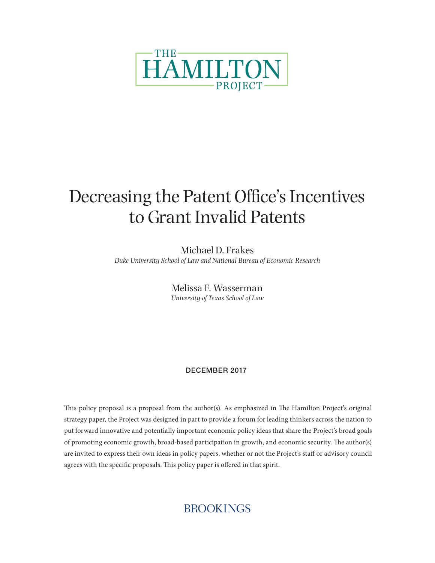

# Decreasing the Patent Office's Incentives to Grant Invalid Patents

Michael D. Frakes *Duke University School of Law and National Bureau of Economic Research*

> Melissa F. Wasserman *University of Texas School of Law*

### DECEMBER 2017

This policy proposal is a proposal from the author(s). As emphasized in The Hamilton Project's original strategy paper, the Project was designed in part to provide a forum for leading thinkers across the nation to put forward innovative and potentially important economic policy ideas that share the Project's broad goals of promoting economic growth, broad-based participation in growth, and economic security. The author(s) are invited to express their own ideas in policy papers, whether or not the Project's staff or advisory council agrees with the specific proposals. This policy paper is offered in that spirit.

## **BROOKINGS**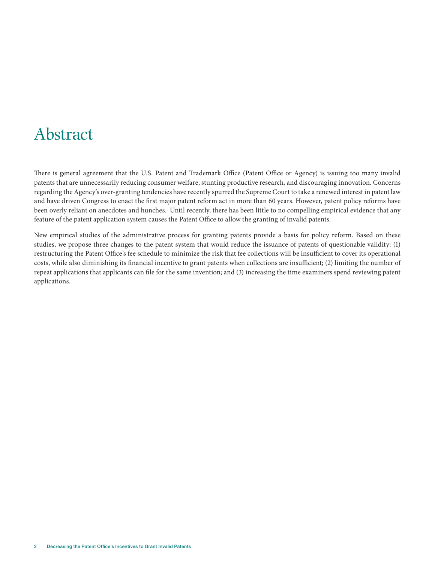## Abstract

There is general agreement that the U.S. Patent and Trademark Office (Patent Office or Agency) is issuing too many invalid patents that are unnecessarily reducing consumer welfare, stunting productive research, and discouraging innovation. Concerns regarding the Agency's over-granting tendencies have recently spurred the Supreme Court to take a renewed interest in patent law and have driven Congress to enact the first major patent reform act in more than 60 years. However, patent policy reforms have been overly reliant on anecdotes and hunches. Until recently, there has been little to no compelling empirical evidence that any feature of the patent application system causes the Patent Office to allow the granting of invalid patents.

New empirical studies of the administrative process for granting patents provide a basis for policy reform. Based on these studies, we propose three changes to the patent system that would reduce the issuance of patents of questionable validity: (1) restructuring the Patent Office's fee schedule to minimize the risk that fee collections will be insufficient to cover its operational costs, while also diminishing its financial incentive to grant patents when collections are insufficient; (2) limiting the number of repeat applications that applicants can file for the same invention; and (3) increasing the time examiners spend reviewing patent applications.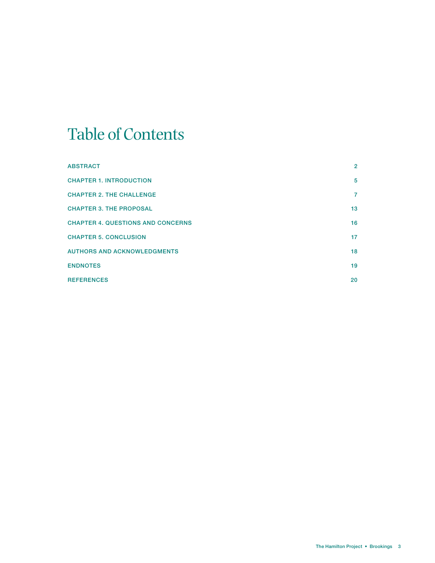# Table of Contents

| <b>ABSTRACT</b>                          | $\overline{2}$ |
|------------------------------------------|----------------|
| <b>CHAPTER 1. INTRODUCTION</b>           | 5              |
| <b>CHAPTER 2. THE CHALLENGE</b>          | 7              |
| <b>CHAPTER 3. THE PROPOSAL</b>           | 13             |
| <b>CHAPTER 4. QUESTIONS AND CONCERNS</b> | 16             |
| <b>CHAPTER 5. CONCLUSION</b>             | 17             |
| <b>AUTHORS AND ACKNOWLEDGMENTS</b>       | 18             |
| <b>ENDNOTES</b>                          | 19             |
| <b>REFERENCES</b>                        | 20             |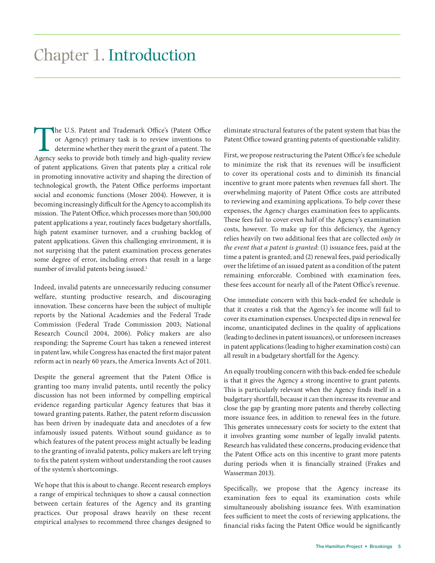The U.S. Patent and Trademark Office's (Patent Office or Agency) primary task is to review inventions to determine whether they merit the grant of a patent. The Agency seeks to provide both timely and high-quality review or Agency) primary task is to review inventions to determine whether they merit the grant of a patent. The Agency seeks to provide both timely and high-quality review of patent applications. Given that patents play a critical role in promoting innovative activity and shaping the direction of technological growth, the Patent Office performs important social and economic functions (Moser 2004). However, it is becoming increasingly difficult for the Agency to accomplish its mission. The Patent Office, which processes more than 500,000 patent applications a year, routinely faces budgetary shortfalls, high patent examiner turnover, and a crushing backlog of patent applications. Given this challenging environment, it is not surprising that the patent examination process generates some degree of error, including errors that result in a large number of invalid patents being issued.<sup>1</sup>

Indeed, invalid patents are unnecessarily reducing consumer welfare, stunting productive research, and discouraging innovation. These concerns have been the subject of multiple reports by the National Academies and the Federal Trade Commission (Federal Trade Commission 2003; National Research Council 2004, 2006). Policy makers are also responding: the Supreme Court has taken a renewed interest in patent law, while Congress has enacted the first major patent reform act in nearly 60 years, the America Invents Act of 2011.

Despite the general agreement that the Patent Office is granting too many invalid patents, until recently the policy discussion has not been informed by compelling empirical evidence regarding particular Agency features that bias it toward granting patents. Rather, the patent reform discussion has been driven by inadequate data and anecdotes of a few infamously issued patents. Without sound guidance as to which features of the patent process might actually be leading to the granting of invalid patents, policy makers are left trying to fix the patent system without understanding the root causes of the system's shortcomings.

We hope that this is about to change. Recent research employs a range of empirical techniques to show a causal connection between certain features of the Agency and its granting practices. Our proposal draws heavily on these recent empirical analyses to recommend three changes designed to

eliminate structural features of the patent system that bias the Patent Office toward granting patents of questionable validity.

First, we propose restructuring the Patent Office's fee schedule to minimize the risk that its revenues will be insufficient to cover its operational costs and to diminish its financial incentive to grant more patents when revenues fall short. The overwhelming majority of Patent Office costs are attributed to reviewing and examining applications. To help cover these expenses, the Agency charges examination fees to applicants. These fees fail to cover even half of the Agency's examination costs, however. To make up for this deficiency, the Agency relies heavily on two additional fees that are collected *only in the event that a patent is granted*: (1) issuance fees, paid at the time a patent is granted; and (2) renewal fees, paid periodically over the lifetime of an issued patent as a condition of the patent remaining enforceable. Combined with examination fees, these fees account for nearly all of the Patent Office's revenue.

One immediate concern with this back-ended fee schedule is that it creates a risk that the Agency's fee income will fail to cover its examination expenses. Unexpected dips in renewal fee income, unanticipated declines in the quality of applications (leading to declines in patent issuances), or unforeseen increases in patent applications (leading to higher examination costs) can all result in a budgetary shortfall for the Agency.

An equally troubling concern with this back-ended fee schedule is that it gives the Agency a strong incentive to grant patents. This is particularly relevant when the Agency finds itself in a budgetary shortfall, because it can then increase its revenue and close the gap by granting more patents and thereby collecting more issuance fees, in addition to renewal fees in the future. This generates unnecessary costs for society to the extent that it involves granting some number of legally invalid patents. Research has validated these concerns, producing evidence that the Patent Office acts on this incentive to grant more patents during periods when it is financially strained (Frakes and Wasserman 2013).

Specifically, we propose that the Agency increase its examination fees to equal its examination costs while simultaneously abolishing issuance fees. With examination fees sufficient to meet the costs of reviewing applications, the financial risks facing the Patent Office would be significantly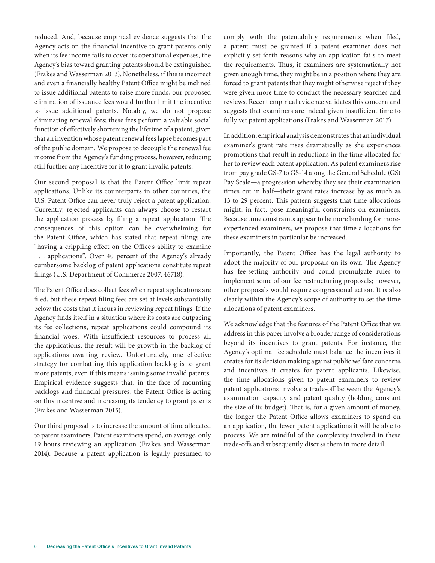reduced. And, because empirical evidence suggests that the Agency acts on the financial incentive to grant patents only when its fee income fails to cover its operational expenses, the Agency's bias toward granting patents should be extinguished (Frakes and Wasserman 2013). Nonetheless, if this is incorrect and even a financially healthy Patent Office might be inclined to issue additional patents to raise more funds, our proposed elimination of issuance fees would further limit the incentive to issue additional patents. Notably, we do not propose eliminating renewal fees; these fees perform a valuable social function of effectively shortening the lifetime of a patent, given that an invention whose patent renewal fees lapse becomes part of the public domain. We propose to decouple the renewal fee income from the Agency's funding process, however, reducing still further any incentive for it to grant invalid patents.

Our second proposal is that the Patent Office limit repeat applications. Unlike its counterparts in other countries, the U.S. Patent Office can never truly reject a patent application. Currently, rejected applicants can always choose to restart the application process by filing a repeat application. The consequences of this option can be overwhelming for the Patent Office, which has stated that repeat filings are "having a crippling effect on the Office's ability to examine . . . applications". Over 40 percent of the Agency's already cumbersome backlog of patent applications constitute repeat filings (U.S. Department of Commerce 2007, 46718).

The Patent Office does collect fees when repeat applications are filed, but these repeat filing fees are set at levels substantially below the costs that it incurs in reviewing repeat filings. If the Agency finds itself in a situation where its costs are outpacing its fee collections, repeat applications could compound its financial woes. With insufficient resources to process all the applications, the result will be growth in the backlog of applications awaiting review. Unfortunately, one effective strategy for combatting this application backlog is to grant more patents, even if this means issuing some invalid patents. Empirical evidence suggests that, in the face of mounting backlogs and financial pressures, the Patent Office is acting on this incentive and increasing its tendency to grant patents (Frakes and Wasserman 2015).

Our third proposal is to increase the amount of time allocated to patent examiners. Patent examiners spend, on average, only 19 hours reviewing an application (Frakes and Wasserman 2014). Because a patent application is legally presumed to

comply with the patentability requirements when filed, a patent must be granted if a patent examiner does not explicitly set forth reasons why an application fails to meet the requirements. Thus, if examiners are systematically not given enough time, they might be in a position where they are forced to grant patents that they might otherwise reject if they were given more time to conduct the necessary searches and reviews. Recent empirical evidence validates this concern and suggests that examiners are indeed given insufficient time to fully vet patent applications (Frakes and Wasserman 2017).

In addition, empirical analysis demonstrates that an individual examiner's grant rate rises dramatically as she experiences promotions that result in reductions in the time allocated for her to review each patent application. As patent examiners rise from pay grade GS-7 to GS-14 along the General Schedule (GS) Pay Scale—a progression whereby they see their examination times cut in half—their grant rates increase by as much as 13 to 29 percent. This pattern suggests that time allocations might, in fact, pose meaningful constraints on examiners. Because time constraints appear to be more binding for moreexperienced examiners, we propose that time allocations for these examiners in particular be increased.

Importantly, the Patent Office has the legal authority to adopt the majority of our proposals on its own. The Agency has fee-setting authority and could promulgate rules to implement some of our fee restructuring proposals; however, other proposals would require congressional action. It is also clearly within the Agency's scope of authority to set the time allocations of patent examiners.

We acknowledge that the features of the Patent Office that we address in this paper involve a broader range of considerations beyond its incentives to grant patents. For instance, the Agency's optimal fee schedule must balance the incentives it creates for its decision making against public welfare concerns and incentives it creates for patent applicants. Likewise, the time allocations given to patent examiners to review patent applications involve a trade-off between the Agency's examination capacity and patent quality (holding constant the size of its budget). That is, for a given amount of money, the longer the Patent Office allows examiners to spend on an application, the fewer patent applications it will be able to process. We are mindful of the complexity involved in these trade-offs and subsequently discuss them in more detail.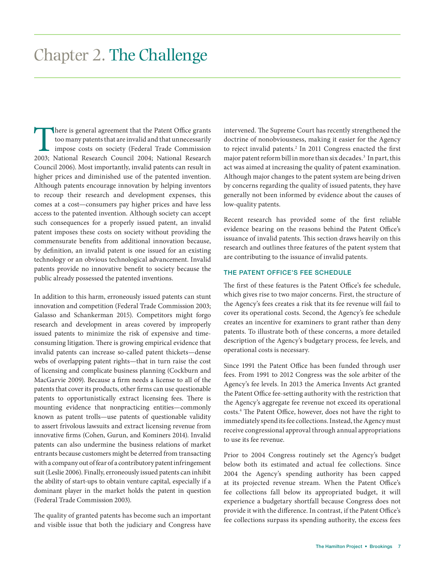There is general agreement that the Patent Office grants too many patents that are invalid and that unnecessarily impose costs on society (Federal Trade Commission 2003; National Research Council 2004; National Research Council 2006). Most importantly, invalid patents can result in higher prices and diminished use of the patented invention. Although patents encourage innovation by helping inventors to recoup their research and development expenses, this comes at a cost—consumers pay higher prices and have less access to the patented invention. Although society can accept such consequences for a properly issued patent, an invalid patent imposes these costs on society without providing the commensurate benefits from additional innovation because, by definition, an invalid patent is one issued for an existing technology or an obvious technological advancement. Invalid patents provide no innovative benefit to society because the public already possessed the patented inventions.

In addition to this harm, erroneously issued patents can stunt innovation and competition (Federal Trade Commission 2003; Galasso and Schankerman 2015). Competitors might forgo research and development in areas covered by improperly issued patents to minimize the risk of expensive and timeconsuming litigation. There is growing empirical evidence that invalid patents can increase so-called patent thickets—dense webs of overlapping patent rights—that in turn raise the cost of licensing and complicate business planning (Cockburn and MacGarvie 2009). Because a firm needs a license to all of the patents that cover its products, other firms can use questionable patents to opportunistically extract licensing fees. There is mounting evidence that nonpracticing entities—commonly known as patent trolls—use patents of questionable validity to assert frivolous lawsuits and extract licensing revenue from innovative firms (Cohen, Gurun, and Kominers 2014). Invalid patents can also undermine the business relations of market entrants because customers might be deterred from transacting with a company out of fear of a contributory patent infringement suit (Leslie 2006). Finally, erroneously issued patents can inhibit the ability of start-ups to obtain venture capital, especially if a dominant player in the market holds the patent in question (Federal Trade Commission 2003).

The quality of granted patents has become such an important and visible issue that both the judiciary and Congress have intervened. The Supreme Court has recently strengthened the doctrine of nonobviousness, making it easier for the Agency to reject invalid patents.<sup>2</sup> In 2011 Congress enacted the first major patent reform bill in more than six decades.3 In part, this act was aimed at increasing the quality of patent examination. Although major changes to the patent system are being driven by concerns regarding the quality of issued patents, they have generally not been informed by evidence about the causes of low-quality patents.

Recent research has provided some of the first reliable evidence bearing on the reasons behind the Patent Office's issuance of invalid patents. This section draws heavily on this research and outlines three features of the patent system that are contributing to the issuance of invalid patents.

#### THE PATENT OFFICE'S FEE SCHEDULE

The first of these features is the Patent Office's fee schedule, which gives rise to two major concerns. First, the structure of the Agency's fees creates a risk that its fee revenue will fail to cover its operational costs. Second, the Agency's fee schedule creates an incentive for examiners to grant rather than deny patents. To illustrate both of these concerns, a more detailed description of the Agency's budgetary process, fee levels, and operational costs is necessary.

Since 1991 the Patent Office has been funded through user fees. From 1991 to 2012 Congress was the sole arbiter of the Agency's fee levels. In 2013 the America Invents Act granted the Patent Office fee-setting authority with the restriction that the Agency's aggregate fee revenue not exceed its operational costs.4 The Patent Office, however, does not have the right to immediately spend its fee collections. Instead, the Agency must receive congressional approval through annual appropriations to use its fee revenue.

Prior to 2004 Congress routinely set the Agency's budget below both its estimated and actual fee collections. Since 2004 the Agency's spending authority has been capped at its projected revenue stream. When the Patent Office's fee collections fall below its appropriated budget, it will experience a budgetary shortfall because Congress does not provide it with the difference. In contrast, if the Patent Office's fee collections surpass its spending authority, the excess fees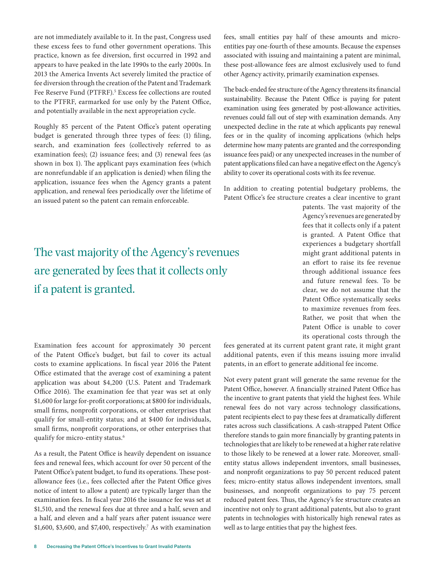are not immediately available to it. In the past, Congress used these excess fees to fund other government operations. This practice, known as fee diversion, first occurred in 1992 and appears to have peaked in the late 1990s to the early 2000s. In 2013 the America Invents Act severely limited the practice of fee diversion through the creation of the Patent and Trademark Fee Reserve Fund (PTFRF).<sup>5</sup> Excess fee collections are routed to the PTFRF, earmarked for use only by the Patent Office, and potentially available in the next appropriation cycle.

Roughly 85 percent of the Patent Office's patent operating budget is generated through three types of fees: (1) filing, search, and examination fees (collectively referred to as examination fees); (2) issuance fees; and (3) renewal fees (as shown in box 1). The applicant pays examination fees (which are nonrefundable if an application is denied) when filing the application, issuance fees when the Agency grants a patent application, and renewal fees periodically over the lifetime of an issued patent so the patent can remain enforceable.

## The vast majority of the Agency's revenues are generated by fees that it collects only if a patent is granted.

fees, small entities pay half of these amounts and microentities pay one-fourth of these amounts. Because the expenses associated with issuing and maintaining a patent are minimal, these post-allowance fees are almost exclusively used to fund other Agency activity, primarily examination expenses.

The back-ended fee structure of the Agency threatens its financial sustainability. Because the Patent Office is paying for patent examination using fees generated by post-allowance activities, revenues could fall out of step with examination demands. Any unexpected decline in the rate at which applicants pay renewal fees or in the quality of incoming applications (which helps determine how many patents are granted and the corresponding issuance fees paid) or any unexpected increases in the number of patent applications filed can have a negative effect on the Agency's ability to cover its operational costs with its fee revenue.

In addition to creating potential budgetary problems, the Patent Office's fee structure creates a clear incentive to grant

> patents. The vast majority of the Agency's revenues are generated by fees that it collects only if a patent is granted. A Patent Office that experiences a budgetary shortfall might grant additional patents in an effort to raise its fee revenue through additional issuance fees and future renewal fees. To be clear, we do not assume that the Patent Office systematically seeks to maximize revenues from fees. Rather, we posit that when the Patent Office is unable to cover its operational costs through the

Examination fees account for approximately 30 percent of the Patent Office's budget, but fail to cover its actual costs to examine applications. In fiscal year 2016 the Patent Office estimated that the average cost of examining a patent application was about \$4,200 (U.S. Patent and Trademark Office 2016). The examination fee that year was set at only \$1,600 for large for-profit corporations; at \$800 for individuals, small firms, nonprofit corporations, or other enterprises that qualify for small-entity status; and at \$400 for individuals, small firms, nonprofit corporations, or other enterprises that qualify for micro-entity status.<sup>6</sup>

As a result, the Patent Office is heavily dependent on issuance fees and renewal fees, which account for over 50 percent of the Patent Office's patent budget, to fund its operations. These postallowance fees (i.e., fees collected after the Patent Office gives notice of intent to allow a patent) are typically larger than the examination fees. In fiscal year 2016 the issuance fee was set at \$1,510, and the renewal fees due at three and a half, seven and a half, and eleven and a half years after patent issuance were \$1,600, \$3,600, and \$7,400, respectively.7 As with examination fees generated at its current patent grant rate, it might grant additional patents, even if this means issuing more invalid patents, in an effort to generate additional fee income.

Not every patent grant will generate the same revenue for the Patent Office, however. A financially strained Patent Office has the incentive to grant patents that yield the highest fees. While renewal fees do not vary across technology classifications, patent recipients elect to pay these fees at dramatically different rates across such classifications. A cash-strapped Patent Office therefore stands to gain more financially by granting patents in technologies that are likely to be renewed at a higher rate relative to those likely to be renewed at a lower rate. Moreover, smallentity status allows independent inventors, small businesses, and nonprofit organizations to pay 50 percent reduced patent fees; micro-entity status allows independent inventors, small businesses, and nonprofit organizations to pay 75 percent reduced patent fees. Thus, the Agency's fee structure creates an incentive not only to grant additional patents, but also to grant patents in technologies with historically high renewal rates as well as to large entities that pay the highest fees.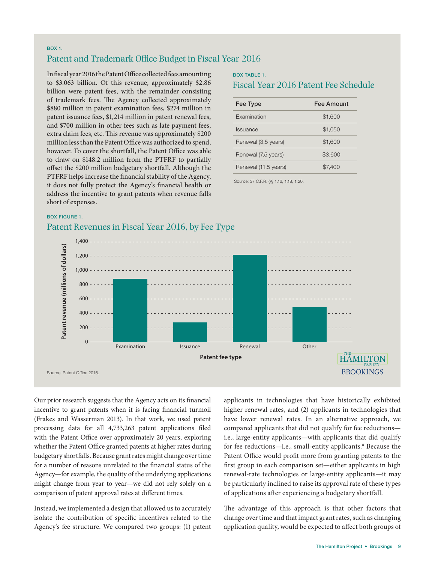#### BOX 1.

### Patent and Trademark Office Budget in Fiscal Year 2016

In fiscal year 2016 the Patent Office collected fees amounting to \$3.063 billion. Of this revenue, approximately \$2.86 billion were patent fees, with the remainder consisting of trademark fees. The Agency collected approximately \$880 million in patent examination fees, \$274 million in patent issuance fees, \$1,214 million in patent renewal fees, and \$700 million in other fees such as late payment fees, extra claim fees, etc. This revenue was approximately \$200 million less than the Patent Office was authorized to spend, however. To cover the shortfall, the Patent Office was able to draw on \$148.2 million from the PTFRF to partially offset the \$200 million budgetary shortfall. Although the PTFRF helps increase the financial stability of the Agency, it does not fully protect the Agency's financial health or address the incentive to grant patents when revenue falls short of expenses.

## BOX TABLE 1.

### Fiscal Year 2016 Patent Fee Schedule

| Fee Type             | <b>Fee Amount</b> |
|----------------------|-------------------|
| Examination          | \$1,600           |
| <b>Issuance</b>      | \$1,050           |
| Renewal (3.5 years)  | \$1,600           |
| Renewal (7.5 years)  | \$3,600           |
| Renewal (11.5 years) | \$7,400           |

Source: 37 C.F.R. §§ 1.16, 1.18, 1.20.

#### BOX FIGURE 1.

### Patent Revenues in Fiscal Year 2016, by Fee Type



Our prior research suggests that the Agency acts on its financial incentive to grant patents when it is facing financial turmoil (Frakes and Wasserman 2013). In that work, we used patent processing data for all 4,733,263 patent applications filed with the Patent Office over approximately 20 years, exploring whether the Patent Office granted patents at higher rates during budgetary shortfalls. Because grant rates might change over time for a number of reasons unrelated to the financial status of the Agency—for example, the quality of the underlying applications might change from year to year—we did not rely solely on a comparison of patent approval rates at different times.

Instead, we implemented a design that allowed us to accurately isolate the contribution of specific incentives related to the Agency's fee structure. We compared two groups: (1) patent

applicants in technologies that have historically exhibited higher renewal rates, and (2) applicants in technologies that have lower renewal rates. In an alternative approach, we compared applicants that did not qualify for fee reductions i.e., large-entity applicants—with applicants that did qualify for fee reductions-i.e., small-entity applicants.<sup>8</sup> Because the Patent Office would profit more from granting patents to the first group in each comparison set—either applicants in high renewal-rate technologies or large-entity applicants—it may be particularly inclined to raise its approval rate of these types of applications after experiencing a budgetary shortfall.

The advantage of this approach is that other factors that change over time and that impact grant rates, such as changing application quality, would be expected to affect both groups of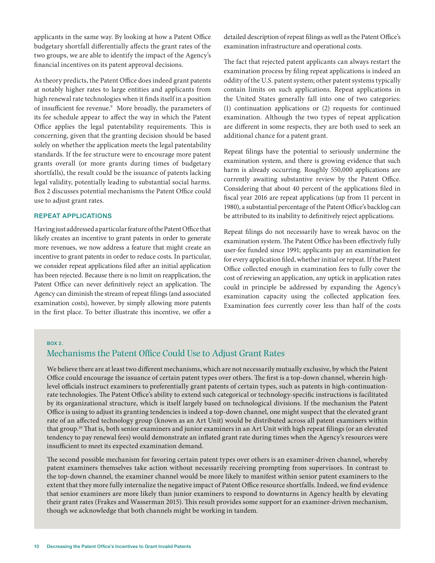applicants in the same way. By looking at how a Patent Office budgetary shortfall differentially affects the grant rates of the two groups, we are able to identify the impact of the Agency's financial incentives on its patent approval decisions.

As theory predicts, the Patent Office does indeed grant patents at notably higher rates to large entities and applicants from high renewal rate technologies when it finds itself in a position of insufficient fee revenue.<sup>9</sup> More broadly, the parameters of its fee schedule appear to affect the way in which the Patent Office applies the legal patentability requirements. This is concerning, given that the granting decision should be based solely on whether the application meets the legal patentability standards. If the fee structure were to encourage more patent grants overall (or more grants during times of budgetary shortfalls), the result could be the issuance of patents lacking legal validity, potentially leading to substantial social harms. Box 2 discusses potential mechanisms the Patent Office could use to adjust grant rates.

#### REPEAT APPLICATIONS

Having just addressed a particular feature of the Patent Office that likely creates an incentive to grant patents in order to generate more revenues, we now address a feature that might create an incentive to grant patents in order to reduce costs. In particular, we consider repeat applications filed after an initial application has been rejected. Because there is no limit on reapplication, the Patent Office can never definitively reject an application. The Agency can diminish the stream of repeat filings (and associated examination costs), however, by simply allowing more patents in the first place. To better illustrate this incentive, we offer a

detailed description of repeat filings as well as the Patent Office's examination infrastructure and operational costs.

The fact that rejected patent applicants can always restart the examination process by filing repeat applications is indeed an oddity of the U.S. patent system; other patent systems typically contain limits on such applications. Repeat applications in the United States generally fall into one of two categories: (1) continuation applications or (2) requests for continued examination. Although the two types of repeat application are different in some respects, they are both used to seek an additional chance for a patent grant.

Repeat filings have the potential to seriously undermine the examination system, and there is growing evidence that such harm is already occurring. Roughly 550,000 applications are currently awaiting substantive review by the Patent Office. Considering that about 40 percent of the applications filed in fiscal year 2016 are repeat applications (up from 11 percent in 1980), a substantial percentage of the Patent Office's backlog can be attributed to its inability to definitively reject applications.

Repeat filings do not necessarily have to wreak havoc on the examination system. The Patent Office has been effectively fully user-fee funded since 1991; applicants pay an examination fee for every application filed, whether initial or repeat. If the Patent Office collected enough in examination fees to fully cover the cost of reviewing an application, any uptick in application rates could in principle be addressed by expanding the Agency's examination capacity using the collected application fees. Examination fees currently cover less than half of the costs

#### BOX 2.

### Mechanisms the Patent Office Could Use to Adjust Grant Rates

We believe there are at least two different mechanisms, which are not necessarily mutually exclusive, by which the Patent Office could encourage the issuance of certain patent types over others. The first is a top-down channel, wherein highlevel officials instruct examiners to preferentially grant patents of certain types, such as patents in high-continuationrate technologies. The Patent Office's ability to extend such categorical or technology-specific instructions is facilitated by its organizational structure, which is itself largely based on technological divisions. If the mechanism the Patent Office is using to adjust its granting tendencies is indeed a top-down channel, one might suspect that the elevated grant rate of an affected technology group (known as an Art Unit) would be distributed across all patent examiners within that group.10 That is, both senior examiners and junior examiners in an Art Unit with high repeat filings (or an elevated tendency to pay renewal fees) would demonstrate an inflated grant rate during times when the Agency's resources were insufficient to meet its expected examination demand.

The second possible mechanism for favoring certain patent types over others is an examiner-driven channel, whereby patent examiners themselves take action without necessarily receiving prompting from supervisors. In contrast to the top-down channel, the examiner channel would be more likely to manifest within senior patent examiners to the extent that they more fully internalize the negative impact of Patent Office resource shortfalls. Indeed, we find evidence that senior examiners are more likely than junior examiners to respond to downturns in Agency health by elevating their grant rates (Frakes and Wasserman 2015). This result provides some support for an examiner-driven mechanism, though we acknowledge that both channels might be working in tandem.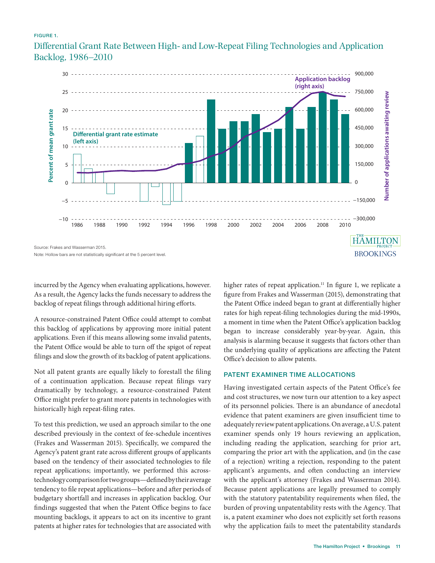#### FIGURE 1.

Differential Grant Rate Between High- and Low-Repeat Filing Technologies and Application Backlog, 1986–2010



incurred by the Agency when evaluating applications, however. As a result, the Agency lacks the funds necessary to address the backlog of repeat filings through additional hiring efforts.

A resource-constrained Patent Office could attempt to combat this backlog of applications by approving more initial patent applications. Even if this means allowing some invalid patents, the Patent Office would be able to turn off the spigot of repeat filings and slow the growth of its backlog of patent applications.

Not all patent grants are equally likely to forestall the filing of a continuation application. Because repeat filings vary dramatically by technology, a resource-constrained Patent Office might prefer to grant more patents in technologies with historically high repeat-filing rates.

To test this prediction, we used an approach similar to the one described previously in the context of fee-schedule incentives (Frakes and Wasserman 2015). Specifically, we compared the Agency's patent grant rate across different groups of applicants based on the tendency of their associated technologies to file repeat applications; importantly, we performed this acrosstechnology comparison for two groups—defined by their average tendency to file repeat applications—before and after periods of budgetary shortfall and increases in application backlog. Our findings suggested that when the Patent Office begins to face mounting backlogs, it appears to act on its incentive to grant patents at higher rates for technologies that are associated with

higher rates of repeat application.<sup>11</sup> In figure 1, we replicate a figure from Frakes and Wasserman (2015), demonstrating that the Patent Office indeed began to grant at differentially higher rates for high repeat-filing technologies during the mid-1990s, a moment in time when the Patent Office's application backlog began to increase considerably year-by-year. Again, this analysis is alarming because it suggests that factors other than the underlying quality of applications are affecting the Patent Office's decision to allow patents.

#### PATENT EXAMINER TIME ALLOCATIONS

Having investigated certain aspects of the Patent Office's fee and cost structures, we now turn our attention to a key aspect of its personnel policies. There is an abundance of anecdotal evidence that patent examiners are given insufficient time to adequately review patent applications. On average, a U.S. patent examiner spends only 19 hours reviewing an application, including reading the application, searching for prior art, comparing the prior art with the application, and (in the case of a rejection) writing a rejection, responding to the patent applicant's arguments, and often conducting an interview with the applicant's attorney (Frakes and Wasserman 2014). Because patent applications are legally presumed to comply with the statutory patentability requirements when filed, the burden of proving unpatentability rests with the Agency. That is, a patent examiner who does not explicitly set forth reasons why the application fails to meet the patentability standards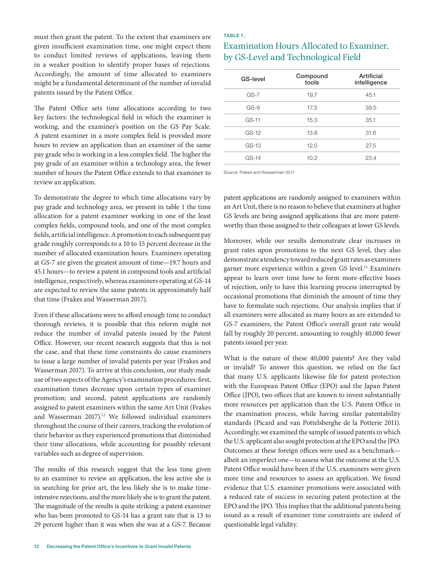must then grant the patent. To the extent that examiners are given insufficient examination time, one might expect them to conduct limited reviews of applications, leaving them in a weaker position to identify proper bases of rejections. Accordingly, the amount of time allocated to examiners might be a fundamental determinant of the number of invalid patents issued by the Patent Office.

The Patent Office sets time allocations according to two key factors: the technological field in which the examiner is working, and the examiner's position on the GS Pay Scale. A patent examiner in a more complex field is provided more hours to review an application than an examiner of the same pay grade who is working in a less complex field. The higher the pay grade of an examiner within a technology area, the fewer number of hours the Patent Office extends to that examiner to review an application.

To demonstrate the degree to which time allocations vary by pay grade and technology area, we present in table 1 the time allocation for a patent examiner working in one of the least complex fields, compound tools, and one of the most complex fields, artificial intelligence. A promotion to each subsequent pay grade roughly corresponds to a 10 to 15 percent decrease in the number of allocated examination hours. Examiners operating at GS-7 are given the greatest amount of time—19.7 hours and 45.1 hours—to review a patent in compound tools and artificial intelligence, respectively, whereas examiners operating at GS-14 are expected to review the same patents in approximately half that time (Frakes and Wasserman 2017).

Even if these allocations were to afford enough time to conduct thorough reviews, it is possible that this reform might not reduce the number of invalid patents issued by the Patent Office. However, our recent research suggests that this is not the case, and that these time constraints do cause examiners to issue a large number of invalid patents per year (Frakes and Wasserman 2017). To arrive at this conclusion, our study made use of two aspects of the Agency's examination procedures: first, examination times decrease upon certain types of examiner promotion; and second, patent applications are randomly assigned to patent examiners within the same Art Unit (Frakes and Wasserman 2017).<sup>12</sup> We followed individual examiners throughout the course of their careers, tracking the evolution of their behavior as they experienced promotions that diminished their time allocations, while accounting for possibly relevant variables such as degree of supervision.

The results of this research suggest that the less time given to an examiner to review an application, the less active she is in searching for prior art, the less likely she is to make timeintensive rejections, and the more likely she is to grant the patent. The magnitude of the results is quite striking: a patent examiner who has been promoted to GS-14 has a grant rate that is 13 to 29 percent higher than it was when she was at a GS-7. Because

#### TABLE 1.

## Examination Hours Allocated to Examiner, by GS-Level and Technological Field

| GS-level | Compound<br>tools | Artificial<br>intelligence |
|----------|-------------------|----------------------------|
| $GS-7$   | 19.7              | 45.1                       |
| $GS-9$   | 17.3              | 39.5                       |
| $GS-11$  | 15.3              | 35.1                       |
| $GS-12$  | 13.8              | 31.6                       |
| $GS-13$  | 12.0              | 27.5                       |
| $GS-14$  | 10.2              | 23.4                       |
|          |                   |                            |

Source: Frakes and Wasserman 2017.

patent applications are randomly assigned to examiners within an Art Unit, there is no reason to believe that examiners at higher GS levels are being assigned applications that are more patentworthy than those assigned to their colleagues at lower GS levels.

Moreover, while our results demonstrate clear increases in grant rates upon promotions to the next GS level, they also demonstrate a tendency toward reduced grant rates as examiners garner more experience within a given GS level.<sup>13</sup> Examiners appear to learn over time how to form more-effective bases of rejection, only to have this learning process interrupted by occasional promotions that diminish the amount of time they have to formulate such rejections. Our analysis implies that if all examiners were allocated as many hours as are extended to GS-7 examiners, the Patent Office's overall grant rate would fall by roughly 20 percent, amounting to roughly 40,000 fewer patents issued per year.

What is the nature of these 40,000 patents? Are they valid or invalid? To answer this question, we relied on the fact that many U.S. applicants likewise file for patent protection with the European Patent Office (EPO) and the Japan Patent Office (JPO), two offices that are known to invest substantially more resources per application than the U.S. Patent Office in the examination process, while having similar patentability standards (Picard and van Pottelsberghe de la Potterie 2011). Accordingly, we examined the sample of issued patents in which the U.S. applicant also sought protection at the EPO and the JPO. Outcomes at these foreign offices were used as a benchmark albeit an imperfect one—to assess what the outcome at the U.S. Patent Office would have been if the U.S. examiners were given more time and resources to assess an application. We found evidence that U.S. examiner promotions were associated with a reduced rate of success in securing patent protection at the EPO and the JPO. This implies that the additional patents being issued as a result of examiner time constraints are indeed of questionable legal validity.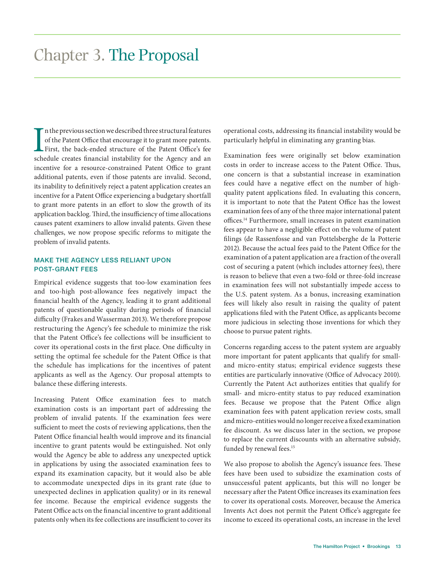In the previous section we described three structural features of the Patent Office that encourage it to grant more patents.<br>First, the back-ended structure of the Patent Office's fee schedule creates financial instability n the previous section we described three structural features of the Patent Office that encourage it to grant more patents. First, the back-ended structure of the Patent Office's fee incentive for a resource-constrained Patent Office to grant additional patents, even if those patents are invalid. Second, its inability to definitively reject a patent application creates an incentive for a Patent Office experiencing a budgetary shortfall to grant more patents in an effort to slow the growth of its application backlog. Third, the insufficiency of time allocations causes patent examiners to allow invalid patents. Given these challenges, we now propose specific reforms to mitigate the problem of invalid patents.

#### MAKE THE AGENCY LESS RELIANT UPON POST-GRANT FEES

Empirical evidence suggests that too-low examination fees and too-high post-allowance fees negatively impact the financial health of the Agency, leading it to grant additional patents of questionable quality during periods of financial difficulty (Frakes and Wasserman 2013). We therefore propose restructuring the Agency's fee schedule to minimize the risk that the Patent Office's fee collections will be insufficient to cover its operational costs in the first place. One difficulty in setting the optimal fee schedule for the Patent Office is that the schedule has implications for the incentives of patent applicants as well as the Agency. Our proposal attempts to balance these differing interests.

Increasing Patent Office examination fees to match examination costs is an important part of addressing the problem of invalid patents. If the examination fees were sufficient to meet the costs of reviewing applications, then the Patent Office financial health would improve and its financial incentive to grant patents would be extinguished. Not only would the Agency be able to address any unexpected uptick in applications by using the associated examination fees to expand its examination capacity, but it would also be able to accommodate unexpected dips in its grant rate (due to unexpected declines in application quality) or in its renewal fee income. Because the empirical evidence suggests the Patent Office acts on the financial incentive to grant additional patents only when its fee collections are insufficient to cover its

operational costs, addressing its financial instability would be particularly helpful in eliminating any granting bias.

Examination fees were originally set below examination costs in order to increase access to the Patent Office. Thus, one concern is that a substantial increase in examination fees could have a negative effect on the number of highquality patent applications filed. In evaluating this concern, it is important to note that the Patent Office has the lowest examination fees of any of the three major international patent offices.14 Furthermore, small increases in patent examination fees appear to have a negligible effect on the volume of patent filings (de Rassenfosse and van Pottelsberghe de la Potterie 2012). Because the actual fees paid to the Patent Office for the examination of a patent application are a fraction of the overall cost of securing a patent (which includes attorney fees), there is reason to believe that even a two-fold or three-fold increase in examination fees will not substantially impede access to the U.S. patent system. As a bonus, increasing examination fees will likely also result in raising the quality of patent applications filed with the Patent Office, as applicants become more judicious in selecting those inventions for which they choose to pursue patent rights.

Concerns regarding access to the patent system are arguably more important for patent applicants that qualify for smalland micro-entity status; empirical evidence suggests these entities are particularly innovative (Office of Advocacy 2010). Currently the Patent Act authorizes entities that qualify for small- and micro-entity status to pay reduced examination fees. Because we propose that the Patent Office align examination fees with patent application review costs, small and micro-entities would no longer receive a fixed examination fee discount. As we discuss later in the section, we propose to replace the current discounts with an alternative subsidy, funded by renewal fees.<sup>15</sup>

We also propose to abolish the Agency's issuance fees. These fees have been used to subsidize the examination costs of unsuccessful patent applicants, but this will no longer be necessary after the Patent Office increases its examination fees to cover its operational costs. Moreover, because the America Invents Act does not permit the Patent Office's aggregate fee income to exceed its operational costs, an increase in the level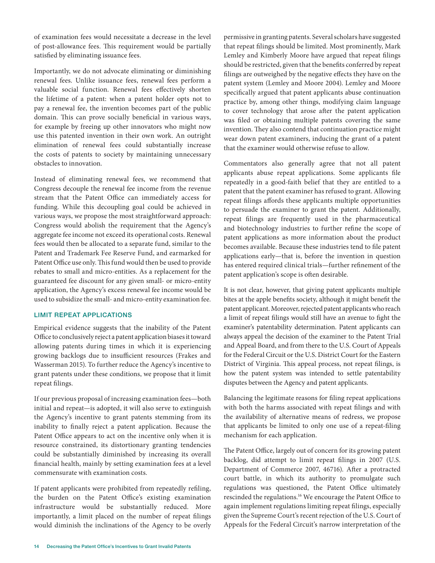of examination fees would necessitate a decrease in the level of post-allowance fees. This requirement would be partially satisfied by eliminating issuance fees.

Importantly, we do not advocate eliminating or diminishing renewal fees. Unlike issuance fees, renewal fees perform a valuable social function. Renewal fees effectively shorten the lifetime of a patent: when a patent holder opts not to pay a renewal fee, the invention becomes part of the public domain. This can prove socially beneficial in various ways, for example by freeing up other innovators who might now use this patented invention in their own work. An outright elimination of renewal fees could substantially increase the costs of patents to society by maintaining unnecessary obstacles to innovation.

Instead of eliminating renewal fees, we recommend that Congress decouple the renewal fee income from the revenue stream that the Patent Office can immediately access for funding. While this decoupling goal could be achieved in various ways, we propose the most straightforward approach: Congress would abolish the requirement that the Agency's aggregate fee income not exceed its operational costs. Renewal fees would then be allocated to a separate fund, similar to the Patent and Trademark Fee Reserve Fund, and earmarked for Patent Office use only. This fund would then be used to provide rebates to small and micro-entities. As a replacement for the guaranteed fee discount for any given small- or micro-entity application, the Agency's excess renewal fee income would be used to subsidize the small- and micro-entity examination fee.

#### LIMIT REPEAT APPLICATIONS

Empirical evidence suggests that the inability of the Patent Office to conclusively reject a patent application biases it toward allowing patents during times in which it is experiencing growing backlogs due to insufficient resources (Frakes and Wasserman 2015). To further reduce the Agency's incentive to grant patents under these conditions, we propose that it limit repeat filings.

If our previous proposal of increasing examination fees—both initial and repeat—is adopted, it will also serve to extinguish the Agency's incentive to grant patents stemming from its inability to finally reject a patent application. Because the Patent Office appears to act on the incentive only when it is resource constrained, its distortionary granting tendencies could be substantially diminished by increasing its overall financial health, mainly by setting examination fees at a level commensurate with examination costs.

If patent applicants were prohibited from repeatedly refiling, the burden on the Patent Office's existing examination infrastructure would be substantially reduced. More importantly, a limit placed on the number of repeat filings would diminish the inclinations of the Agency to be overly permissive in granting patents. Several scholars have suggested that repeat filings should be limited. Most prominently, Mark Lemley and Kimberly Moore have argued that repeat filings should be restricted, given that the benefits conferred by repeat filings are outweighed by the negative effects they have on the patent system (Lemley and Moore 2004). Lemley and Moore specifically argued that patent applicants abuse continuation practice by, among other things, modifying claim language to cover technology that arose after the patent application was filed or obtaining multiple patents covering the same invention. They also contend that continuation practice might wear down patent examiners, inducing the grant of a patent that the examiner would otherwise refuse to allow.

Commentators also generally agree that not all patent applicants abuse repeat applications. Some applicants file repeatedly in a good-faith belief that they are entitled to a patent that the patent examiner has refused to grant. Allowing repeat filings affords these applicants multiple opportunities to persuade the examiner to grant the patent. Additionally, repeat filings are frequently used in the pharmaceutical and biotechnology industries to further refine the scope of patent applications as more information about the product becomes available. Because these industries tend to file patent applications early—that is, before the invention in question has entered required clinical trials—further refinement of the patent application's scope is often desirable.

It is not clear, however, that giving patent applicants multiple bites at the apple benefits society, although it might benefit the patent applicant. Moreover, rejected patent applicants who reach a limit of repeat filings would still have an avenue to fight the examiner's patentability determination. Patent applicants can always appeal the decision of the examiner to the Patent Trial and Appeal Board, and from there to the U.S. Court of Appeals for the Federal Circuit or the U.S. District Court for the Eastern District of Virginia. This appeal process, not repeat filings, is how the patent system was intended to settle patentability disputes between the Agency and patent applicants.

Balancing the legitimate reasons for filing repeat applications with both the harms associated with repeat filings and with the availability of alternative means of redress, we propose that applicants be limited to only one use of a repeat-filing mechanism for each application.

The Patent Office, largely out of concern for its growing patent backlog, did attempt to limit repeat filings in 2007 (U.S. Department of Commerce 2007, 46716). After a protracted court battle, in which its authority to promulgate such regulations was questioned, the Patent Office ultimately rescinded the regulations.16 We encourage the Patent Office to again implement regulations limiting repeat filings, especially given the Supreme Court's recent rejection of the U.S. Court of Appeals for the Federal Circuit's narrow interpretation of the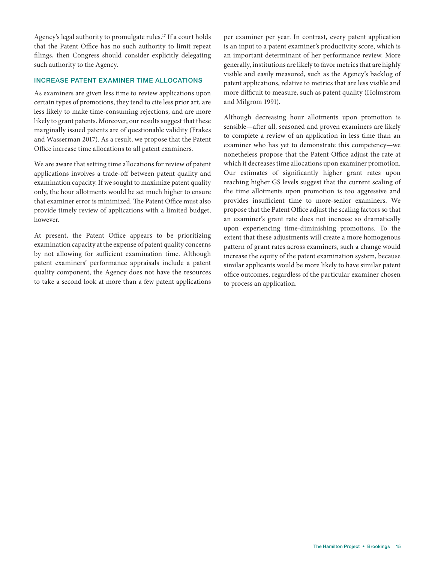Agency's legal authority to promulgate rules.<sup>17</sup> If a court holds that the Patent Office has no such authority to limit repeat filings, then Congress should consider explicitly delegating such authority to the Agency.

#### INCREASE PATENT EXAMINER TIME ALLOCATIONS

As examiners are given less time to review applications upon certain types of promotions, they tend to cite less prior art, are less likely to make time-consuming rejections, and are more likely to grant patents. Moreover, our results suggest that these marginally issued patents are of questionable validity (Frakes and Wasserman 2017). As a result, we propose that the Patent Office increase time allocations to all patent examiners.

We are aware that setting time allocations for review of patent applications involves a trade-off between patent quality and examination capacity. If we sought to maximize patent quality only, the hour allotments would be set much higher to ensure that examiner error is minimized. The Patent Office must also provide timely review of applications with a limited budget, however.

At present, the Patent Office appears to be prioritizing examination capacity at the expense of patent quality concerns by not allowing for sufficient examination time. Although patent examiners' performance appraisals include a patent quality component, the Agency does not have the resources to take a second look at more than a few patent applications

per examiner per year. In contrast, every patent application is an input to a patent examiner's productivity score, which is an important determinant of her performance review. More generally, institutions are likely to favor metrics that are highly visible and easily measured, such as the Agency's backlog of patent applications, relative to metrics that are less visible and more difficult to measure, such as patent quality (Holmstrom and Milgrom 1991).

Although decreasing hour allotments upon promotion is sensible—after all, seasoned and proven examiners are likely to complete a review of an application in less time than an examiner who has yet to demonstrate this competency—we nonetheless propose that the Patent Office adjust the rate at which it decreases time allocations upon examiner promotion. Our estimates of significantly higher grant rates upon reaching higher GS levels suggest that the current scaling of the time allotments upon promotion is too aggressive and provides insufficient time to more-senior examiners. We propose that the Patent Office adjust the scaling factors so that an examiner's grant rate does not increase so dramatically upon experiencing time-diminishing promotions. To the extent that these adjustments will create a more homogenous pattern of grant rates across examiners, such a change would increase the equity of the patent examination system, because similar applicants would be more likely to have similar patent office outcomes, regardless of the particular examiner chosen to process an application.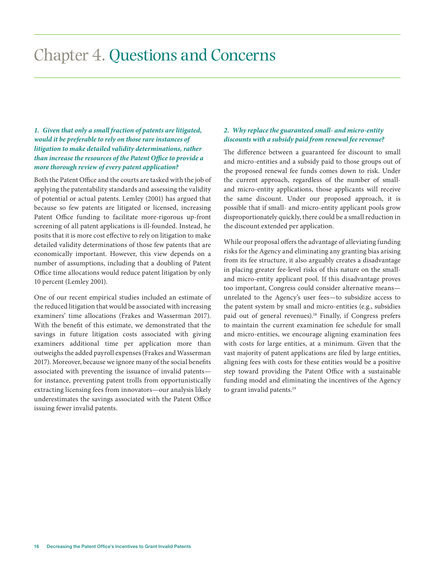## Chapter 4. Questions and Concerns

### *1. Given that only a small fraction of patents are litigated, would it be preferable to rely on those rare instances of litigation to make detailed validity determinations, rather than increase the resources of the Patent Office to provide a more thorough review of every patent application?*

Both the Patent Office and the courts are tasked with the job of applying the patentability standards and assessing the validity of potential or actual patents. Lemley (2001) has argued that because so few patents are litigated or licensed, increasing Patent Office funding to facilitate more-rigorous up-front screening of all patent applications is ill-founded. Instead, he posits that it is more cost effective to rely on litigation to make detailed validity determinations of those few patents that are economically important. However, this view depends on a number of assumptions, including that a doubling of Patent Office time allocations would reduce patent litigation by only 10 percent (Lemley 2001).

One of our recent empirical studies included an estimate of the reduced litigation that would be associated with increasing examiners' time allocations (Frakes and Wasserman 2017). With the benefit of this estimate, we demonstrated that the savings in future litigation costs associated with giving examiners additional time per application more than outweighs the added payroll expenses (Frakes and Wasserman 2017). Moreover, because we ignore many of the social benefits associated with preventing the issuance of invalid patents for instance, preventing patent trolls from opportunistically extracting licensing fees from innovators—our analysis likely underestimates the savings associated with the Patent Office issuing fewer invalid patents.

### *2. Why replace the guaranteed small- and micro-entity discounts with a subsidy paid from renewal fee revenue?*

The difference between a guaranteed fee discount to small and micro-entities and a subsidy paid to those groups out of the proposed renewal fee funds comes down to risk. Under the current approach, regardless of the number of smalland micro-entity applications, those applicants will receive the same discount. Under our proposed approach, it is possible that if small- and micro-entity applicant pools grow disproportionately quickly, there could be a small reduction in the discount extended per application.

While our proposal offers the advantage of alleviating funding risks for the Agency and eliminating any granting bias arising from its fee structure, it also arguably creates a disadvantage in placing greater fee-level risks of this nature on the smalland micro-entity applicant pool. If this disadvantage proves too important, Congress could consider alternative means unrelated to the Agency's user fees—to subsidize access to the patent system by small and micro-entities (e.g., subsidies paid out of general revenues).<sup>18</sup> Finally, if Congress prefers to maintain the current examination fee schedule for small and micro-entities, we encourage aligning examination fees with costs for large entities, at a minimum. Given that the vast majority of patent applications are filed by large entities, aligning fees with costs for these entities would be a positive step toward providing the Patent Office with a sustainable funding model and eliminating the incentives of the Agency to grant invalid patents.<sup>19</sup>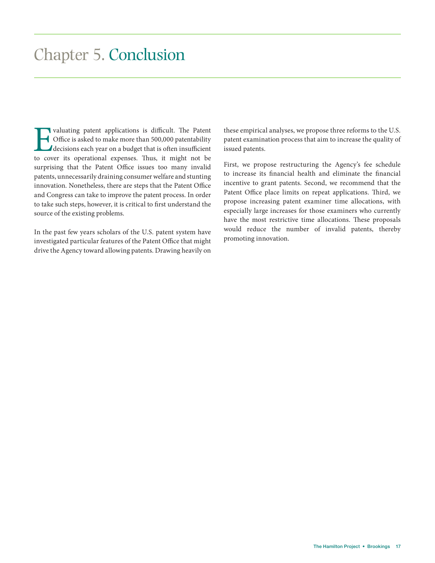## Chapter 5. Conclusion

Valuating patent applications is difficult. The Patent Office is asked to make more than 500,000 patentability decisions each year on a budget that is often insufficient to cover its operational expenses. Thus, it might no Office is asked to make more than 500,000 patentability decisions each year on a budget that is often insufficient to cover its operational expenses. Thus, it might not be surprising that the Patent Office issues too many invalid patents, unnecessarily draining consumer welfare and stunting innovation. Nonetheless, there are steps that the Patent Office and Congress can take to improve the patent process. In order to take such steps, however, it is critical to first understand the source of the existing problems.

In the past few years scholars of the U.S. patent system have investigated particular features of the Patent Office that might drive the Agency toward allowing patents. Drawing heavily on these empirical analyses, we propose three reforms to the U.S. patent examination process that aim to increase the quality of issued patents.

First, we propose restructuring the Agency's fee schedule to increase its financial health and eliminate the financial incentive to grant patents. Second, we recommend that the Patent Office place limits on repeat applications. Third, we propose increasing patent examiner time allocations, with especially large increases for those examiners who currently have the most restrictive time allocations. These proposals would reduce the number of invalid patents, thereby promoting innovation.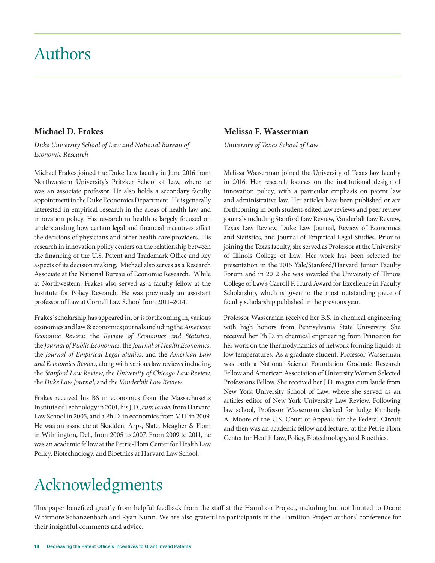## Authors

### **Michael D. Frakes**

*Duke University School of Law and National Bureau of Economic Research*

Michael Frakes joined the Duke Law faculty in June 2016 from Northwestern University's Pritzker School of Law, where he was an associate professor. He also holds a secondary faculty appointment in the Duke Economics Department. He is generally interested in empirical research in the areas of health law and innovation policy. His research in health is largely focused on understanding how certain legal and financial incentives affect the decisions of physicians and other health care providers. His research in innovation policy centers on the relationship between the financing of the U.S. Patent and Trademark Office and key aspects of its decision making. Michael also serves as a Research Associate at the National Bureau of Economic Research. While at Northwestern, Frakes also served as a faculty fellow at the Institute for Policy Research. He was previously an assistant professor of Law at Cornell Law School from 2011–2014.

Frakes' scholarship has appeared in, or is forthcoming in, various economics and law & economics journals including the *American Economic Review*, the *Review of Economics and Statistics*, the *Journal of Public Economics,* the *Journal of Health Economics*, the *Journal of Empirical Legal Studies*, and the *American Law and Economics Review*, along with various law reviews including the *Stanford Law Review*, the *University of Chicago Law Review*, the *Duke Law Journal*, and the *Vanderbilt Law Review*.

Frakes received his BS in economics from the Massachusetts Institute of Technology in 2001, his J.D., *cum laude*, from Harvard Law School in 2005, and a Ph.D. in economics from MIT in 2009. He was an associate at Skadden, Arps, Slate, Meagher & Flom in Wilmington, Del., from 2005 to 2007. From 2009 to 2011, he was an academic fellow at the Petrie-Flom Center for Health Law Policy, Biotechnology, and Bioethics at Harvard Law School.

#### **Melissa F. Wasserman**

*University of Texas School of Law*

Melissa Wasserman joined the University of Texas law faculty in 2016. Her research focuses on the institutional design of innovation policy, with a particular emphasis on patent law and administrative law. Her articles have been published or are forthcoming in both student-edited law reviews and peer review journals including Stanford Law Review, Vanderbilt Law Review, Texas Law Review, Duke Law Journal, Review of Economics and Statistics, and Journal of Empirical Legal Studies. Prior to joining the Texas faculty, she served as Professor at the University of Illinois College of Law. Her work has been selected for presentation in the 2015 Yale/Stanford/Harvard Junior Faculty Forum and in 2012 she was awarded the University of Illinois College of Law's Carroll P. Hurd Award for Excellence in Faculty Scholarship, which is given to the most outstanding piece of faculty scholarship published in the previous year.

Professor Wasserman received her B.S. in chemical engineering with high honors from Pennsylvania State University. She received her Ph.D. in chemical engineering from Princeton for her work on the thermodynamics of network-forming liquids at low temperatures. As a graduate student, Professor Wasserman was both a National Science Foundation Graduate Research Fellow and American Association of University Women Selected Professions Fellow. She received her J.D. magna cum laude from New York University School of Law, where she served as an articles editor of New York University Law Review. Following law school, Professor Wasserman clerked for Judge Kimberly A. Moore of the U.S. Court of Appeals for the Federal Circuit and then was an academic fellow and lecturer at the Petrie Flom Center for Health Law, Policy, Biotechnology, and Bioethics.

## Acknowledgments

This paper benefited greatly from helpful feedback from the staff at the Hamilton Project, including but not limited to Diane Whitmore Schanzenbach and Ryan Nunn. We are also grateful to participants in the Hamilton Project authors' conference for their insightful comments and advice.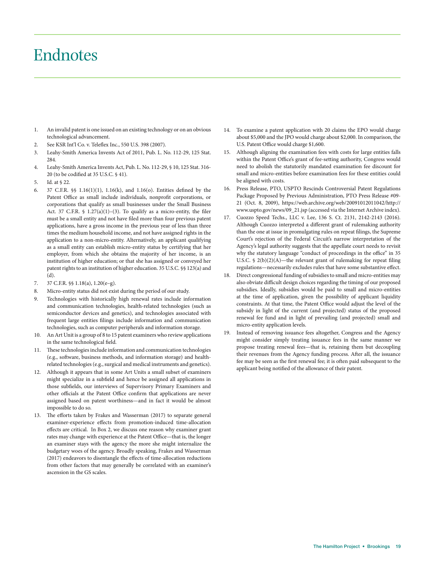## Endnotes

- 1. An invalid patent is one issued on an existing technology or on an obvious technological advancement.
- 2. See KSR Int'l Co. v. Teleflex Inc., 550 U.S. 398 (2007).
- 3. Leahy-Smith America Invents Act of 2011, Pub. L. No. 112-29, 125 Stat. 284.
- 4. Leahy-Smith America Invents Act, Pub. L. No. 112-29, § 10, 125 Stat. 316- 20 (to be codified at 35 U.S.C. § 41).
- 5. Id. at § 22.
- 6. 37 C.F.R. §§ 1.16(1)(1), 1.16(k), and 1.16(o). Entities defined by the Patent Office as small include individuals, nonprofit corporations, or corporations that qualify as small businesses under the Small Business Act. 37 C.F.R.  $\frac{1.27(a)(1)-(3)}{1.2(a)(1)-(3)}$ . To qualify as a micro-entity, the filer must be a small entity and not have filed more than four previous patent applications, have a gross income in the previous year of less than three times the medium household income, and not have assigned rights in the application to a non-micro-entity. Alternatively, an applicant qualifying as a small entity can establish micro-entity status by certifying that her employer, from which she obtains the majority of her income, is an institution of higher education; or that she has assigned or conveyed her patent rights to an institution of higher education. 35 U.S.C. §§ 123(a) and (d).
- 7. 37 C.F.R. §§ 1.18(a), 1.20(e–g).
- 8. Micro-entity status did not exist during the period of our study.
- 9. Technologies with historically high renewal rates include information and communication technologies, health-related technologies (such as semiconductor devices and genetics), and technologies associated with frequent large entities filings include information and communication technologies, such as computer peripherals and information storage.
- 10. An Art Unit is a group of 8 to 15 patent examiners who review applications in the same technological field.
- 11. These technologies include information and communication technologies (e.g., software, business methods, and information storage) and healthrelated technologies (e.g., surgical and medical instruments and genetics).
- 12. Although it appears that in some Art Units a small subset of examiners might specialize in a subfield and hence be assigned all applications in those subfields, our interviews of Supervisory Primary Examiners and other officials at the Patent Office confirm that applications are never assigned based on patent worthiness—and in fact it would be almost impossible to do so.
- 13. The efforts taken by Frakes and Wasserman (2017) to separate general examiner-experience effects from promotion-induced time-allocation effects are critical. In Box 2, we discuss one reason why examiner grant rates may change with experience at the Patent Office—that is, the longer an examiner stays with the agency the more she might internalize the budgetary woes of the agency. Broadly speaking, Frakes and Wasserman (2017) endeavors to disentangle the effects of time-allocation reductions from other factors that may generally be correlated with an examiner's ascension in the GS scales.
- 14. To examine a patent application with 20 claims the EPO would charge about \$5,000 and the JPO would charge about \$2,000. In comparison, the U.S. Patent Office would charge \$1,600.
- 15. Although aligning the examination fees with costs for large entities falls within the Patent Office's grant of fee-setting authority, Congress would need to abolish the statutorily mandated examination fee discount for small and micro-entities before examination fees for these entities could be aligned with costs.
- 16. Press Release, PTO, USPTO Rescinds Controversial Patent Regulations Package Proposed by Previous Administration, PTO Press Release #09- 21 (Oct. 8, 2009), https://web.archive.org/web/20091012011042/http:// www.uspto.gov/news/09\_21.jsp (accessed via the Internet Archive index).
- 17. Cuozzo Speed Techs., LLC v. Lee, 136 S. Ct. 2131, 2142-2143 (2016). Although Cuozzo interpreted a different grant of rulemaking authority than the one at issue in promulgating rules on repeat filings, the Supreme Court's rejection of the Federal Circuit's narrow interpretation of the Agency's legal authority suggests that the appellate court needs to revisit why the statutory language "conduct of proceedings in the office" in 35 U.S.C.  $\frac{1}{2}(b)(2)(A)$ —the relevant grant of rulemaking for repeat filing regulations—necessarily excludes rules that have some substantive effect.
- 18. Direct congressional funding of subsidies to small and micro-entities may also obviate difficult design choices regarding the timing of our proposed subsidies. Ideally, subsidies would be paid to small and micro-entities at the time of application, given the possibility of applicant liquidity constraints. At that time, the Patent Office would adjust the level of the subsidy in light of the current (and projected) status of the proposed renewal fee fund and in light of prevailing (and projected) small and micro-entity application levels.
- 19. Instead of removing issuance fees altogether, Congress and the Agency might consider simply treating issuance fees in the same manner we propose treating renewal fees—that is, retaining them but decoupling their revenues from the Agency funding process. After all, the issuance fee may be seen as the first renewal fee; it is often paid subsequent to the applicant being notified of the allowance of their patent.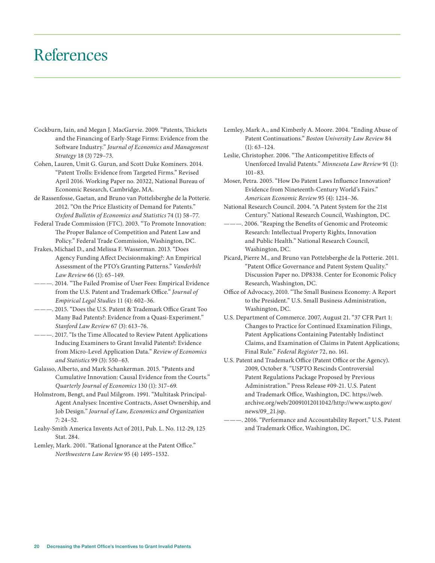## References

- Cockburn, Iain, and Megan J. MacGarvie. 2009. "Patents, Thickets and the Financing of Early-Stage Firms: Evidence from the Software Industry." *Journal of Economics and Management Strategy* 18 (3) 729–73.
- Cohen, Lauren, Umit G. Gurun, and Scott Duke Kominers. 2014. "Patent Trolls: Evidence from Targeted Firms." Revised April 2016. Working Paper no. 20322, National Bureau of Economic Research, Cambridge, MA.
- de Rassenfosse, Gaetan, and Bruno van Pottelsberghe de la Potterie. 2012. "On the Price Elasticity of Demand for Patents." *Oxford Bulletin of Economics and Statistics* 74 (1) 58–77.
- Federal Trade Commission (FTC). 2003. "To Promote Innovation: The Proper Balance of Competition and Patent Law and Policy." Federal Trade Commission, Washington, DC.
- Frakes, Michael D., and Melissa F. Wasserman. 2013. "Does Agency Funding Affect Decisionmaking?: An Empirical Assessment of the PTO's Granting Patterns." *Vanderbilt Law Review* 66 (1): 65–149.
- -. 2014. "The Failed Promise of User Fees: Empirical Evidence from the U.S. Patent and Trademark Office." *Journal of Empirical Legal Studies* 11 (4): 602–36.
- ———. 2015. "Does the U.S. Patent & Trademark Office Grant Too Many Bad Patents?: Evidence from a Quasi-Experiment." *Stanford Law Review* 67 (3): 613–76.
- -- 2017. "Is the Time Allocated to Review Patent Applications Inducing Examiners to Grant Invalid Patents?: Evidence from Micro-Level Application Data." *Review of Economics and Statistics* 99 (3): 550–63.
- Galasso, Alberto, and Mark Schankerman. 2015. "Patents and Cumulative Innovation: Causal Evidence from the Courts." *Quarterly Journal of Economics* 130 (1): 317–69.
- Holmstrom, Bengt, and Paul Milgrom. 1991. "Multitask Principal-Agent Analyses: Incentive Contracts, Asset Ownership, and Job Design." *Journal of Law, Economics and Organization* 7: 24–52.
- Leahy-Smith America Invents Act of 2011, Pub. L. No. 112-29, 125 Stat. 284.
- Lemley, Mark. 2001. "Rational Ignorance at the Patent Office." *Northwestern Law Review* 95 (4) 1495–1532.
- Lemley, Mark A., and Kimberly A. Moore. 2004. "Ending Abuse of Patent Continuations." *Boston University Law Review* 84 (1): 63–124.
- Leslie, Christopher. 2006. "The Anticompetitive Effects of Unenforced Invalid Patents." *Minnesota Law Review* 91 (1): 101–83.
- Moser, Petra. 2005. "How Do Patent Laws Influence Innovation? Evidence from Nineteenth-Century World's Fairs." *American Economic Review* 95 (4): 1214–36.
- National Research Council. 2004. "A Patent System for the 21st Century." National Research Council, Washington, DC.
- . 2006. "Reaping the Benefits of Genomic and Proteomic Research: Intellectual Property Rights, Innovation and Public Health." National Research Council, Washington, DC.
- Picard, Pierre M., and Bruno van Pottelsberghe de la Potterie. 2011. "Patent Office Governance and Patent System Quality." Discussion Paper no. DP8338. Center for Economic Policy Research, Washington, DC.
- Office of Advocacy, 2010. "The Small Business Economy: A Report to the President." U.S. Small Business Administration, Washington, DC.
- U.S. Department of Commerce. 2007, August 21. "37 CFR Part 1: Changes to Practice for Continued Examination Filings, Patent Applications Containing Patentably Indistinct Claims, and Examination of Claims in Patent Applications; Final Rule." *Federal Register* 72, no. 161.
- U.S. Patent and Trademark Office (Patent Office or the Agency). 2009, October 8. "USPTO Rescinds Controversial Patent Regulations Package Proposed by Previous Administration." Press Release #09-21. U.S. Patent and Trademark Office, Washington, DC. https://web. archive.org/web/20091012011042/http://www.uspto.gov/ news/09\_21.jsp.
- ———. 2016. "Performance and Accountability Report." U.S. Patent and Trademark Office, Washington, DC.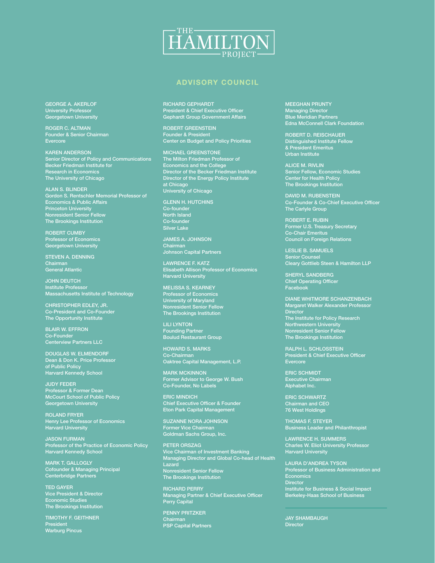

### ADVISORY COUNCIL

GEORGE A. AKERLOF University Professor Georgetown University

ROGER C. ALTMAN Founder & Senior Chairman Evercore

KAREN ANDERSON Senior Director of Policy and Communications Becker Friedman Institute for Research in Economics The University of Chicago

ALAN S. BLINDER Gordon S. Rentschler Memorial Professor of Economics & Public Affairs **Princeton University** Nonresident Senior Fellow The Brookings Institution

ROBERT CUMBY Professor of Economics Georgetown University

STEVEN A. DENNING Chairman General Atlantic

JOHN DEUTCH Institute Professor Massachusetts Institute of Technology

CHRISTOPHER EDLEY, JR. Co-President and Co-Founder The Opportunity Institute

BLAIR W. EFFRON Co-Founder Centerview Partners LLC

DOUGLAS W. ELMENDORF Dean & Don K. Price Professor of Public Policy Harvard Kennedy School

JUDY FEDER Professor & Former Dean McCourt School of Public Policy Georgetown University

ROLAND FRYER Henry Lee Professor of Economics Harvard University

JASON FURMAN Professor of the Practice of Economic Policy Harvard Kennedy School

MARK T. GALLOGLY Cofounder & Managing Principal Centerbridge Partners

TED GAYER Vice President & Director Economic Studies The Brookings Institution

TIMOTHY F. GEITHNER President Warburg Pincus

#### RICHARD GEPHARDT

President & Chief Executive Officer Gephardt Group Government Affairs

ROBERT GREENSTEIN Founder & President Center on Budget and Policy Priorities

MICHAEL GREENSTONE The Milton Friedman Professor of Economics and the College Director of the Becker Friedman Institute Director of the Energy Policy Institute at Chicago University of Chicago

GLENN H. HUTCHINS Co-founder North Island Co-founder Silver Lake

JAMES A. JOHNSON **Chairman** Johnson Capital Partners

LAWRENCE F. KATZ Elisabeth Allison Professor of Economics Harvard University

MELISSA S. KEARNEY Professor of Economics University of Maryland Nonresident Senior Fellow The Brookings Institution

LILI LYNTON Founding Partner Boulud Restaurant Group

HOWARD S. MARKS Co-Chairman Oaktree Capital Management, L.P.

MARK MCKINNON Former Advisor to George W. Bush Co-Founder, No Labels

ERIC MINDICH Chief Executive Officer & Founder Eton Park Capital Management

SUZANNE NORA JOHNSON Former Vice Chairman Goldman Sachs Group, Inc.

PETER ORSZAG Vice Chairman of Investment Banking Managing Director and Global Co-head of Health Lazard Nonresident Senior Fellow The Brookings Institution

RICHARD PERRY Managing Partner & Chief Executive Officer Perry Capital

PENNY PRITZKER Chairman PSP Capital Partners MEEGHAN PRUNTY Managing Director Blue Meridian Partners Edna McConnell Clark Foundation

ROBERT D. REISCHAUER Distinguished Institute Fellow & President Emeritus Urban Institute

ALICE M. RIVLIN Senior Fellow, Economic Studies Center for Health Policy The Brookings Institution

DAVID M. RUBENSTEIN Co-Founder & Co-Chief Executive Officer The Carlyle Group

ROBERT E. RUBIN Former U.S. Treasury Secretary Co-Chair Emeritus Council on Foreign Relations

LESLIE B. SAMUELS Senior Counsel Cleary Gottlieb Steen & Hamilton LLP

SHERYL SANDBERG Chief Operating Officer Facebook

DIANE WHITMORE SCHANZENBACH Margaret Walker Alexander Professor<br>Director **Director** The Institute for Policy Research Northwestern University Nonresident Senior Fellow The Brookings Institution

RALPH L. SCHLOSSTEIN President & Chief Executive Officer **Evercore** 

ERIC SCHMIDT Executive Chairman Alphabet Inc.

ERIC SCHWARTZ Chairman and CEO 76 West Holdings

THOMAS F. STEYER Business Leader and Philanthropist

LAWRENCE H. SUMMERS Charles W. Eliot University Professor Harvard University

LAURA D'ANDREA TYSON Professor of Business Administration and Economics **Director** Institute for Business & Social Impact Berkeley-Haas School of Business

JAY SHAMBAUGH **Director**